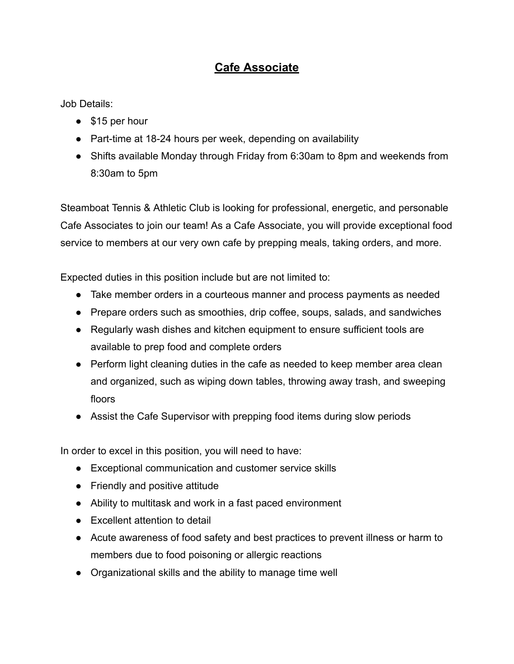## **Cafe Associate**

Job Details:

- \$15 per hour
- Part-time at 18-24 hours per week, depending on availability
- Shifts available Monday through Friday from 6:30am to 8pm and weekends from 8:30am to 5pm

Steamboat Tennis & Athletic Club is looking for professional, energetic, and personable Cafe Associates to join our team! As a Cafe Associate, you will provide exceptional food service to members at our very own cafe by prepping meals, taking orders, and more.

Expected duties in this position include but are not limited to:

- Take member orders in a courteous manner and process payments as needed
- Prepare orders such as smoothies, drip coffee, soups, salads, and sandwiches
- Regularly wash dishes and kitchen equipment to ensure sufficient tools are available to prep food and complete orders
- Perform light cleaning duties in the cafe as needed to keep member area clean and organized, such as wiping down tables, throwing away trash, and sweeping floors
- Assist the Cafe Supervisor with prepping food items during slow periods

In order to excel in this position, you will need to have:

- Exceptional communication and customer service skills
- Friendly and positive attitude
- Ability to multitask and work in a fast paced environment
- Excellent attention to detail
- Acute awareness of food safety and best practices to prevent illness or harm to members due to food poisoning or allergic reactions
- Organizational skills and the ability to manage time well